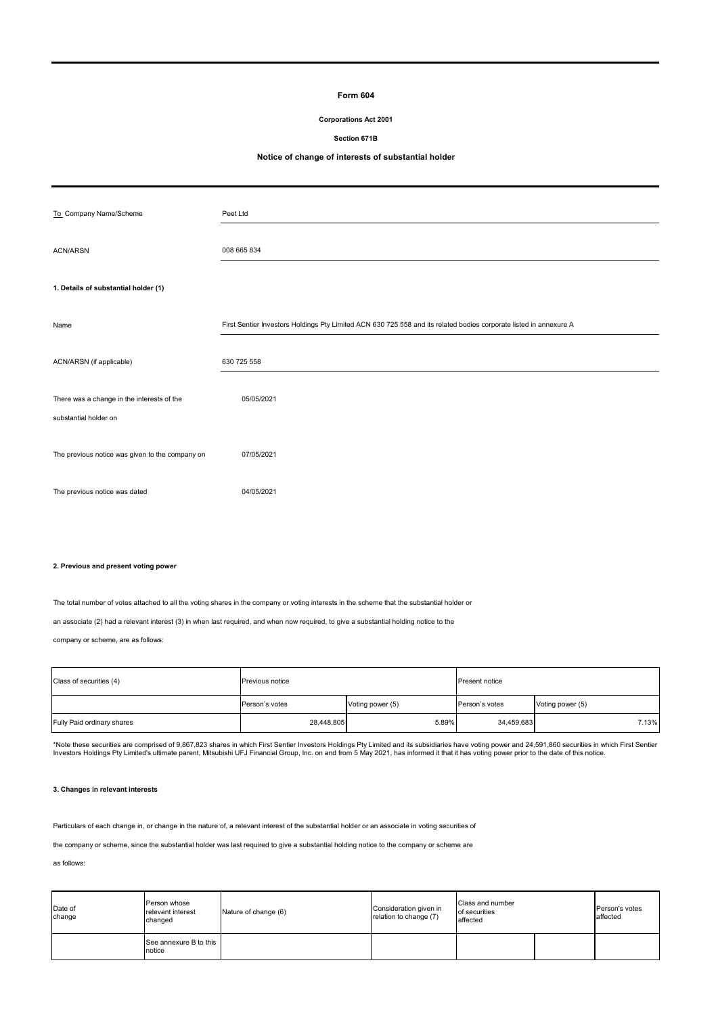### **Form 604**

### **Corporations Act 2001**

**Section 671B**

### **Notice of change of interests of substantial holder**

| To_Company Name/Scheme                          | Peet Ltd                                                                                                           |
|-------------------------------------------------|--------------------------------------------------------------------------------------------------------------------|
| <b>ACN/ARSN</b>                                 | 008 665 834                                                                                                        |
| 1. Details of substantial holder (1)            |                                                                                                                    |
| Name                                            | First Sentier Investors Holdings Pty Limited ACN 630 725 558 and its related bodies corporate listed in annexure A |
| ACN/ARSN (if applicable)                        | 630 725 558                                                                                                        |
| There was a change in the interests of the      | 05/05/2021                                                                                                         |
| substantial holder on                           |                                                                                                                    |
| The previous notice was given to the company on | 07/05/2021                                                                                                         |
| The previous notice was dated                   | 04/05/2021                                                                                                         |

### **2. Previous and present voting power**

The total number of votes attached to all the voting shares in the company or voting interests in the scheme that the substantial holder or

an associate (2) had a relevant interest (3) in when last required, and when now required, to give a substantial holding notice to the

company or scheme, are as follows:

| Class of securities (4)    | Previous notice |                  | <b>Present notice</b> |                  |  |
|----------------------------|-----------------|------------------|-----------------------|------------------|--|
|                            | Person's votes  | Voting power (5) | Person's votes        | Voting power (5) |  |
| Fully Paid ordinary shares | 28,448,805      | 5.89%            | 34,459,683            | 7.13%            |  |

\*Note these securities are comprised of 9,867,823 shares in which First Sentier Investors Holdings Pty Limited and its subsidiaries have voting power and 24,591,860 securities in which First Sentier<br>Investors Holdings Pty

### **3. Changes in relevant interests**

Particulars of each change in, or change in the nature of, a relevant interest of the substantial holder or an associate in voting securities of

the company or scheme, since the substantial holder was last required to give a substantial holding notice to the company or scheme are

as follows:

| Date of<br>change | Person whose<br>relevant interest<br>changed | Nature of change (6) | Consideration given in<br>relation to change (7) | Class and number<br>of securities<br>affected |  | Person's votes<br>affected |
|-------------------|----------------------------------------------|----------------------|--------------------------------------------------|-----------------------------------------------|--|----------------------------|
|                   | See annexure B to this<br>notice             |                      |                                                  |                                               |  |                            |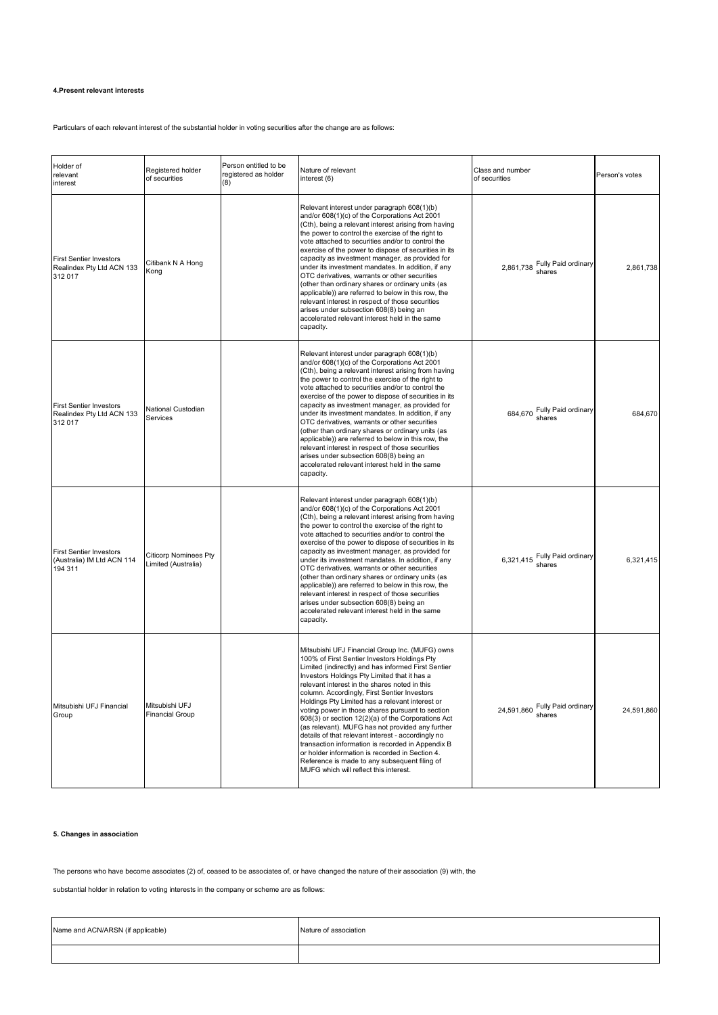## **4.Present relevant interests**

Particulars of each relevant interest of the substantial holder in voting securities after the change are as follows:

| Holder of<br>relevant<br>interest                                       | Registered holder<br>of securities                  | Person entitled to be<br>registered as holder<br>(8) | Nature of relevant<br>interest (6)                                                                                                                                                                                                                                                                                                                                                                                                                                                                                                                                                                                                                                                                                                                                                | Class and number<br>of securities        | Person's votes |
|-------------------------------------------------------------------------|-----------------------------------------------------|------------------------------------------------------|-----------------------------------------------------------------------------------------------------------------------------------------------------------------------------------------------------------------------------------------------------------------------------------------------------------------------------------------------------------------------------------------------------------------------------------------------------------------------------------------------------------------------------------------------------------------------------------------------------------------------------------------------------------------------------------------------------------------------------------------------------------------------------------|------------------------------------------|----------------|
| <b>First Sentier Investors</b><br>Realindex Pty Ltd ACN 133<br>312 017  | Citibank N A Hong<br>Kong                           |                                                      | Relevant interest under paragraph 608(1)(b)<br>and/or 608(1)(c) of the Corporations Act 2001<br>(Cth), being a relevant interest arising from having<br>the power to control the exercise of the right to<br>vote attached to securities and/or to control the<br>exercise of the power to dispose of securities in its<br>capacity as investment manager, as provided for<br>under its investment mandates. In addition, if any<br>OTC derivatives, warrants or other securities<br>(other than ordinary shares or ordinary units (as<br>applicable)) are referred to below in this row, the<br>relevant interest in respect of those securities<br>arises under subsection 608(8) being an<br>accelerated relevant interest held in the same<br>capacity.                       | 2,861,738 Fully Paid ordinary            | 2,861,738      |
| <b>First Sentier Investors</b><br>Realindex Pty Ltd ACN 133<br>312 017  | National Custodian<br>Services                      |                                                      | Relevant interest under paragraph 608(1)(b)<br>and/or 608(1)(c) of the Corporations Act 2001<br>(Cth), being a relevant interest arising from having<br>the power to control the exercise of the right to<br>vote attached to securities and/or to control the<br>exercise of the power to dispose of securities in its<br>capacity as investment manager, as provided for<br>under its investment mandates. In addition, if any<br>OTC derivatives, warrants or other securities<br>(other than ordinary shares or ordinary units (as<br>applicable)) are referred to below in this row, the<br>relevant interest in respect of those securities<br>arises under subsection 608(8) being an<br>accelerated relevant interest held in the same<br>capacity.                       | 684,670 Fully Paid ordinary<br>shares    | 684,670        |
| <b>First Sentier Investors</b><br>(Australia) IM Ltd ACN 114<br>194 311 | <b>Citicorp Nominees Pty</b><br>Limited (Australia) |                                                      | Relevant interest under paragraph 608(1)(b)<br>and/or 608(1)(c) of the Corporations Act 2001<br>(Cth), being a relevant interest arising from having<br>the power to control the exercise of the right to<br>vote attached to securities and/or to control the<br>exercise of the power to dispose of securities in its<br>capacity as investment manager, as provided for<br>under its investment mandates. In addition, if any<br>OTC derivatives, warrants or other securities<br>(other than ordinary shares or ordinary units (as<br>applicable)) are referred to below in this row, the<br>relevant interest in respect of those securities<br>arises under subsection 608(8) being an<br>accelerated relevant interest held in the same<br>capacity.                       | 6,321,415 Fully Paid ordinary            | 6,321,415      |
| Mitsubishi UFJ Financial<br>Group                                       | Mitsubishi UFJ<br><b>Financial Group</b>            |                                                      | Mitsubishi UFJ Financial Group Inc. (MUFG) owns<br>100% of First Sentier Investors Holdings Pty<br>Limited (indirectly) and has informed First Sentier<br>Investors Holdings Pty Limited that it has a<br>relevant interest in the shares noted in this<br>column. Accordingly, First Sentier Investors<br>Holdings Pty Limited has a relevant interest or<br>voting power in those shares pursuant to section<br>608(3) or section 12(2)(a) of the Corporations Act<br>(as relevant). MUFG has not provided any further<br>details of that relevant interest - accordingly no<br>transaction information is recorded in Appendix B<br>or holder information is recorded in Section 4.<br>Reference is made to any subsequent filing of<br>MUFG which will reflect this interest. | 24,591,860 Fully Paid ordinary<br>shares | 24,591,860     |

# **5. Changes in association**

The persons who have become associates (2) of, ceased to be associates of, or have changed the nature of their association (9) with, the

substantial holder in relation to voting interests in the company or scheme are as follows:

| Name and ACN/ARSN (if applicable) | Nature of association |  |  |  |  |
|-----------------------------------|-----------------------|--|--|--|--|
|                                   |                       |  |  |  |  |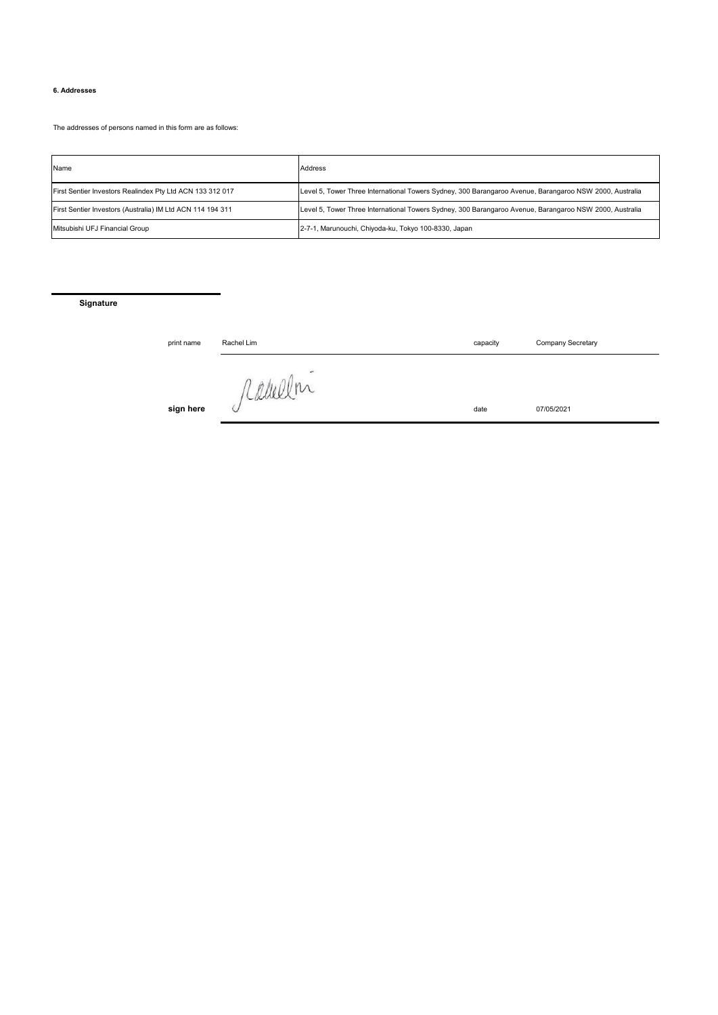## **6. Addresses**

The addresses of persons named in this form are as follows:

| Name                                                       | Address                                                                                                 |
|------------------------------------------------------------|---------------------------------------------------------------------------------------------------------|
| First Sentier Investors Realindex Pty Ltd ACN 133 312 017  | Level 5, Tower Three International Towers Sydney, 300 Barangaroo Avenue, Barangaroo NSW 2000, Australia |
| First Sentier Investors (Australia) IM Ltd ACN 114 194 311 | Level 5, Tower Three International Towers Sydney, 300 Barangaroo Avenue, Barangaroo NSW 2000, Australia |
| Mitsubishi UFJ Financial Group                             | 2-7-1, Marunouchi, Chiyoda-ku, Tokyo 100-8330, Japan                                                    |

**Signature**

print name Rachel Lim **Rachel 1** and the capacity capacity

Company Secretary

sign here *fulled* l'in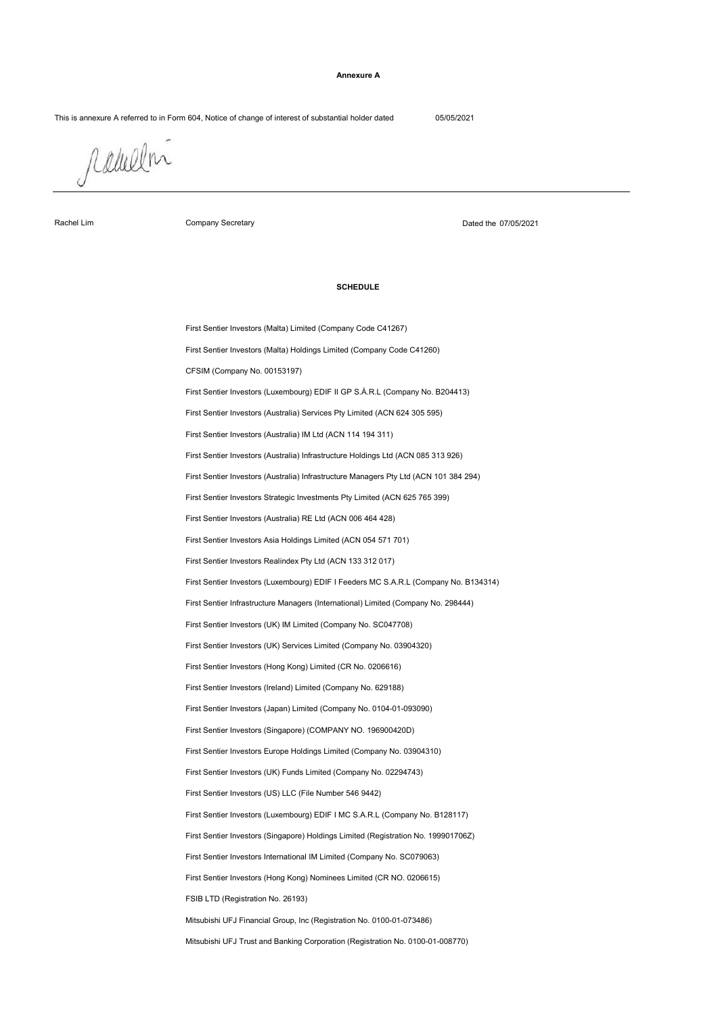### **Annexure A**

This is annexure A referred to in Form 604, Notice of change of interest of substantial holder dated 05/05/2021

rabellin

Rachel Lim

Company Secretary

Dated the 07/05/2021

#### **SCHEDULE**

First Sentier Investors (Luxembourg) EDIF II GP S.Á.R.L (Company No. B204413) First Sentier Infrastructure Managers (International) Limited (Company No. 298444) Mitsubishi UFJ Trust and Banking Corporation (Registration No. 0100-01-008770) First Sentier Investors International IM Limited (Company No. SC079063) FSIB LTD (Registration No. 26193) First Sentier Investors Strategic Investments Pty Limited (ACN 625 765 399) First Sentier Investors Asia Holdings Limited (ACN 054 571 701) First Sentier Investors (Luxembourg) EDIF I Feeders MC S.A.R.L (Company No. B134314) First Sentier Investors (UK) IM Limited (Company No. SC047708) First Sentier Investors (US) LLC (File Number 546 9442) Mitsubishi UFJ Financial Group, Inc (Registration No. 0100-01-073486) First Sentier Investors (Singapore) Holdings Limited (Registration No. 199901706Z) First Sentier Investors (Hong Kong) Nominees Limited (CR NO. 0206615) First Sentier Investors (Luxembourg) EDIF I MC S.A.R.L (Company No. B128117) First Sentier Investors (UK) Funds Limited (Company No. 02294743) First Sentier Investors (Singapore) (COMPANY NO. 196900420D) First Sentier Investors (Malta) Limited (Company Code C41267) First Sentier Investors (Australia) Services Pty Limited (ACN 624 305 595) First Sentier Investors (Australia) Infrastructure Holdings Ltd (ACN 085 313 926) First Sentier Investors Europe Holdings Limited (Company No. 03904310) First Sentier Investors (Japan) Limited (Company No. 0104-01-093090) First Sentier Investors (Hong Kong) Limited (CR No. 0206616) First Sentier Investors (Malta) Holdings Limited (Company Code C41260) First Sentier Investors (Australia) IM Ltd (ACN 114 194 311) First Sentier Investors (Australia) Infrastructure Managers Pty Ltd (ACN 101 384 294) First Sentier Investors (Ireland) Limited (Company No. 629188) CFSIM (Company No. 00153197) First Sentier Investors (Australia) RE Ltd (ACN 006 464 428) First Sentier Investors Realindex Pty Ltd (ACN 133 312 017) First Sentier Investors (UK) Services Limited (Company No. 03904320)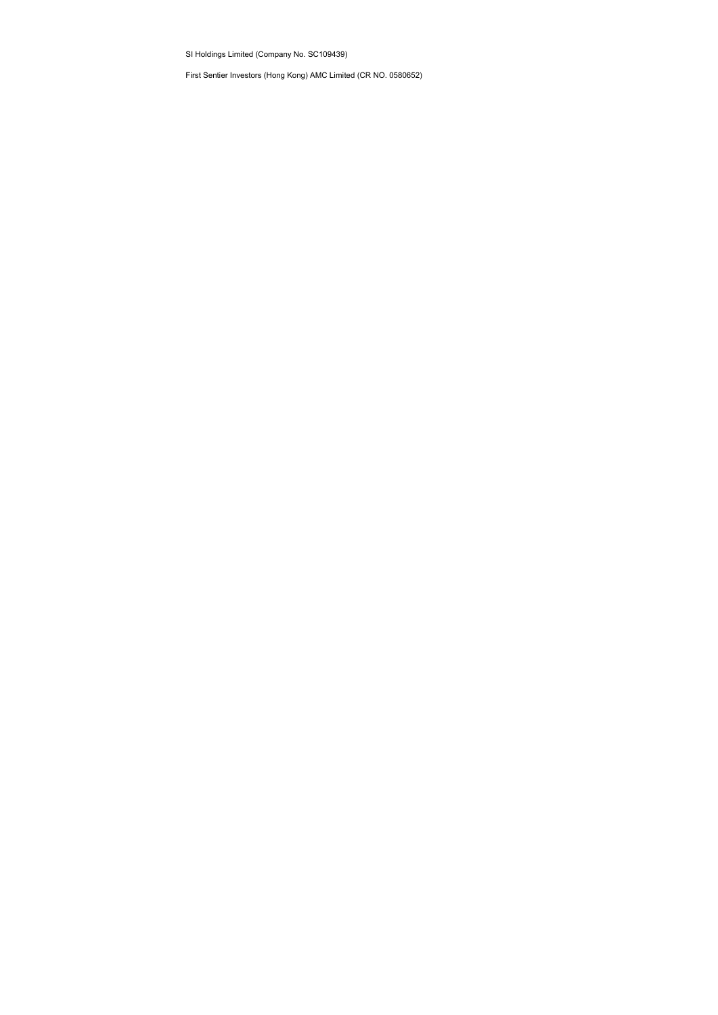SI Holdings Limited (Company No. SC109439)

First Sentier Investors (Hong Kong) AMC Limited (CR NO. 0580652)